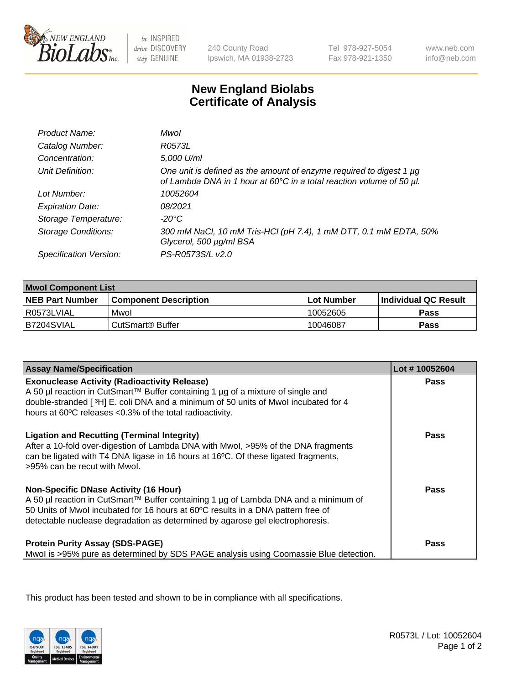

be INSPIRED drive DISCOVERY stay GENUINE

240 County Road Ipswich, MA 01938-2723 Tel 978-927-5054 Fax 978-921-1350

www.neb.com info@neb.com

## **New England Biolabs Certificate of Analysis**

| Product Name:              | Mwol                                                                                                                                             |
|----------------------------|--------------------------------------------------------------------------------------------------------------------------------------------------|
| Catalog Number:            | R0573L                                                                                                                                           |
| Concentration:             | 5,000 U/ml                                                                                                                                       |
| Unit Definition:           | One unit is defined as the amount of enzyme required to digest 1 $\mu$ g<br>of Lambda DNA in 1 hour at 60°C in a total reaction volume of 50 µl. |
| Lot Number:                | 10052604                                                                                                                                         |
| <b>Expiration Date:</b>    | 08/2021                                                                                                                                          |
| Storage Temperature:       | $-20^{\circ}$ C                                                                                                                                  |
| <b>Storage Conditions:</b> | 300 mM NaCl, 10 mM Tris-HCl (pH 7.4), 1 mM DTT, 0.1 mM EDTA, 50%<br>Glycerol, 500 µg/ml BSA                                                      |
| Specification Version:     | PS-R0573S/L v2.0                                                                                                                                 |

| <b>Mwol Component List</b> |                              |             |                             |  |
|----------------------------|------------------------------|-------------|-----------------------------|--|
| <b>NEB Part Number</b>     | <b>Component Description</b> | ⊺Lot Number | <b>Individual QC Result</b> |  |
| I R0573LVIAL               | Mwol                         | 10052605    | Pass                        |  |
| B7204SVIAL                 | ⊧CutSmart® Buffer            | 10046087    | Pass                        |  |

| <b>Assay Name/Specification</b>                                                                                                                                                                                                                                                                          | Lot #10052604 |
|----------------------------------------------------------------------------------------------------------------------------------------------------------------------------------------------------------------------------------------------------------------------------------------------------------|---------------|
| <b>Exonuclease Activity (Radioactivity Release)</b><br>A 50 µl reaction in CutSmart™ Buffer containing 1 µg of a mixture of single and<br>double-stranded [3H] E. coli DNA and a minimum of 50 units of Mwol incubated for 4<br>hours at 60°C releases <0.3% of the total radioactivity.                 | <b>Pass</b>   |
| <b>Ligation and Recutting (Terminal Integrity)</b><br>After a 10-fold over-digestion of Lambda DNA with Mwol, >95% of the DNA fragments<br>can be ligated with T4 DNA ligase in 16 hours at 16°C. Of these ligated fragments,<br>>95% can be recut with Mwol.                                            | Pass          |
| <b>Non-Specific DNase Activity (16 Hour)</b><br>A 50 µl reaction in CutSmart™ Buffer containing 1 µg of Lambda DNA and a minimum of<br>50 Units of Mwol incubated for 16 hours at 60°C results in a DNA pattern free of<br>detectable nuclease degradation as determined by agarose gel electrophoresis. | Pass          |
| <b>Protein Purity Assay (SDS-PAGE)</b><br>Mwol is >95% pure as determined by SDS PAGE analysis using Coomassie Blue detection.                                                                                                                                                                           | Pass          |

This product has been tested and shown to be in compliance with all specifications.